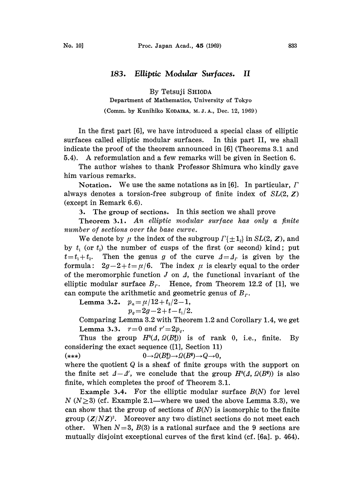## 183. Elliptic Modular Surfaces. II

By Tetsuji SHIODA

Department of Mathematics, University of Tokyo,

(Comm. by Kunihiko KODAIRA, M. J. A., Dec. 12, 1969)

In the first part [6], we have introduced a special class of elliptic surfaces called elliptic modular surfaces. In this part II, we shall indicate the proof of the theorem announced in [6] (Theorems 3.1 and 5.4). A reformulation and <sup>a</sup> few remarks will be given in Section 6.

The author wishes to thank Professor Shimura who kindly gave him various remarks.

Notation. We use the same notations as in [6]. In particular,  $\Gamma$ always denotes a torsion-free subgroup of finite index of  $SL(2, Z)$ (except in Remark 6.6).

3. The group of sections. In this section we shall prove

Theorem 3.1. An elliptic modular surface has only a finite number of sections over the base curve.

We denote by  $\mu$  the index of the subgroup  $\Gamma\{\pm 1_2\}$  in SL(2, Z), and by  $t_1$  (or  $t_2$ ) the number of cusps of the first (or second) kind; put  $t=t_1+t_2$ . Then the genus g of the curve  $\Delta=4_r$  is given by the formula:  $2g-2+t=\mu/6$ . The index  $\mu$  is clearly equal to the order of the meromorphic function  $J$  on  $\Lambda$ , the functional invariant of the elliptic modular surface  $B_r$ . Hence, from Theorem 12.2 of [1], we can compute the arithmetic and geometric genus of  $B_r$ .

Lemma 3.2.  $p_a = \mu/12 + t_2/2 - 1$ ,

 $p_q = 2g-2+t-t_1/2.$ 

Comparing Lemma 3.2 with Theorem 1.2 and Corollary 1.4, we get Lemma 3.3.  $r=0$  and  $r' = 2p_q$ .

Thus the group  $H^{0}(A, \Omega(B_{0}^{*}))$  is of rank 0, i.e., finite. By considering the exact sequence ([1], Section 11)

(\*\*\*)  $0 \rightarrow \Omega(B_0^*) \rightarrow \Omega(B^*) \rightarrow Q \rightarrow 0,$ 

where the quotient  $Q$  is a sheaf of finite groups with the support on the finite set  $A-A'$ , we conclude that the group  $H<sup>0</sup>(A, \Omega(B^*))$  is also finite, which completes the proof of Theorem 3.1.

Example 3.4. For the elliptic modular surface  $B(N)$  for level  $N(N\geq 3)$  (cf. Example 2.1—where we used the above Lemma 3.3), we can show that the group of sections of  $B(N)$  is isomorphic to the finite group  $(Z/NZ)^2$ . Moreover any two distinct sections do not meet each other. When  $N=3$ ,  $B(3)$  is a rational surface and the 9 sections are mutually disjoint exceptional curves of the first kind (cf. [6a]. p. 464).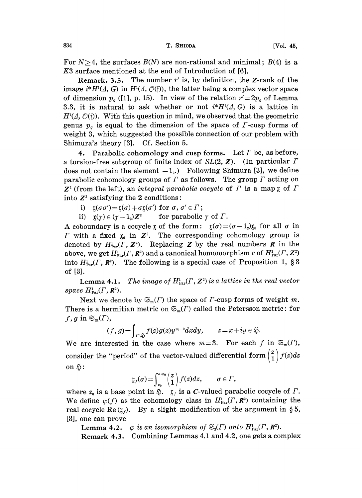For  $N \geq 4$ , the surfaces  $B(N)$  are non-rational and minimal;  $B(4)$  is a K3 surface mentioned at the end of Introduction of [6].

Remark. 3.5. The number  $r'$  is, by definition, the Z-rank of the image  $i^*H^1(\Lambda, G)$  in  $H^1(\Lambda, \mathcal{O}(\mathfrak{f}))$ , the latter being a complex vector space of dimension  $p_q$  ([1], p. 15). In view of the relation  $r'=2p_q$  of Lemma 3.3, it is natural to ask whether or not  $i^*H^{1}(A, G)$  is a lattice in  $H<sup>1</sup>(\Lambda, \mathcal{O}(\mathfrak{f}))$ . With this question in mind, we observed that the geometric genus  $p_q$  is equal to the dimension of the space of  $\Gamma$ -cusp forms of weight 3, which suggested the possible connection of our problem with Shimura's theory [3]. Cf. Section 5.

4. Parabolic cohomology and cusp forms. Let  $\Gamma$  be, as before, a torsion-free subgroup of finite index of  $SL(2, Z)$ . (In particular  $\Gamma$ does not contain the element  $-1_{\nu}$ . Following Shimura [3], we define parabolic cohomology groups of  $\Gamma$  as follows. The group  $\Gamma$  acting on  $\mathbb{Z}^2$  (from the left), an integral parabolic cocycle of  $\Gamma$  is a map  $\chi$  of  $\Gamma$ into  $Z^2$  satisfying the 2 conditions:

- i)  $\mathfrak{x}(\sigma\sigma') = \mathfrak{x}(\sigma) + \sigma\mathfrak{x}(\sigma')$  for  $\sigma, \sigma' \in \Gamma$ ;
- ii)  $\mathfrak{x}(\gamma) \in (\gamma 1) \mathbb{Z}^2$  for parabolic  $\gamma$  of  $\Gamma$ .

A coboundary is a cocycle  $\zeta$  of the form:  $\zeta(\sigma)=(\sigma-1)\zeta_0$  for all  $\sigma$  in  $\Gamma$  with a fixed  $x_0$  in  $Z^2$ . The corresponding cohomology group is denoted by  $H_{\text{Per}}^1(\Gamma, \mathbb{Z}^2)$ . Replacing Z by the real numbers R in the above, we get  $H_{\text{Par}}^1(\Gamma, \mathbb{R}^2)$  and a canonical homomorphism c of  $H_{\text{Par}}^1(\Gamma, \mathbb{Z}^2)$ into  $H_{\text{Par}}^1(\Gamma, \mathbb{R}^2)$ . The following is a special case of Proposition 1, § 3 of [3].

**Lemma 4.1.** The image of  $H_{\text{Par}}^1(\Gamma, \mathbb{Z}^2)$  is a lattice in the real vector space  $H_{\text{Par}}^1(\Gamma, \mathbb{R}^2)$ .

Next we denote by  $\mathfrak{S}_{m}(\Gamma)$  the space of  $\Gamma$ -cusp forms of weight m. There is a hermitian metric on  $\mathfrak{S}_m(\Gamma)$  called the Petersson metric: for  $f, g \text{ in } \mathfrak{S}_m(\Gamma)$ ,

$$
(f,g) = \int_{I \setminus \mathfrak{S}} f(z) \overline{g(z)} y^{m-2} dx dy, \qquad z = x + iy \in \mathfrak{S}.
$$

We are interested in the case where  $m=3$ . For each f in  $\mathfrak{S}_m(\Gamma)$ , consider the "period" of the vector-valued differential form  $\binom{z}{1}f(z)dz$ on  $\mathfrak{S}$ :

$$
g_f(\sigma) = \int_{z_0}^{\sigma \cdot z_0} \binom{z}{1} f(z) dz, \qquad \sigma \in \Gamma,
$$

where  $z_0$  is a base point in  $\tilde{\varphi}$ .  $\chi_f$  is a C-valued parabolic cocycle of  $\Gamma$ . We define  $\varphi(f)$  as the cohomology class in  $H_{\text{Par}}^1(\Gamma, \mathbb{R}^2)$  containing the real cocycle Re( $(x_i)$ . By a slight modification of the argument in §5, [3], one can prove

**Lemma 4.2.**  $\varphi$  is an isomorphism of  $\mathfrak{S}_{3}(\Gamma)$  onto  $H_{\text{Par}}^{1}(\Gamma, \mathbb{R}^{2})$ . Remark 4.3. Combining Lemmas  $4.1$  and  $4.2$ , one gets a complex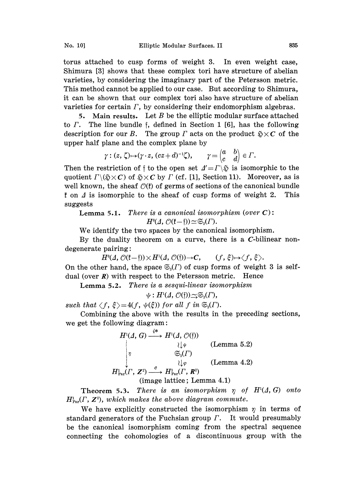torus attached to cusp forms of weight 3. In even weight case, Shimura [3] shows that these complex tori have structure of abelian varieties, by considering the imaginary part of the Petersson metric. This method cannot be applied to our case. But according to Shimura, it can be shown that our complex tori also have structure of abelian varieties for certain  $\Gamma$ , by considering their endomorphism algebras.

5. Main results. Let  $B$  be the elliptic modular surface attached to  $\Gamma$ . The line bundle f, defined in Section 1 [6], has the following description for our B. The group  $\Gamma$  acts on the product  $\mathfrak{H} \times \mathfrak{C}$  of the upper half plane and the complex plane by

$$
\gamma: (z,\,\zeta) {\mapsto} (\gamma\cdot z,\,(cz+d)^{-1}\zeta), \qquad \gamma = \begin{pmatrix} a & b \\ c & d \end{pmatrix} \in \varGamma.
$$

 $\gamma: (z, \zeta) \mapsto (\gamma \cdot z, (cz+d)^{-1}\zeta), \qquad \gamma = \begin{pmatrix} a & b \\ c & d \end{pmatrix} \in \Gamma.$ <br>striction of f to the open set  $\Delta' = \Gamma \setminus \S$  is isom  $\S \times C$  of  $\S \times C$  by  $\Gamma$  (cf. [1], Section 11). Moreover, the shock  $\mathcal{O}(k)$  of gamma of soctions of t Then the restriction of  $\dagger$  to the open set  $\Delta' = \Gamma \backslash \mathfrak{D}$  is isomorphic to the quotient  $\Gamma \backslash (\mathfrak{H} \times C)$  of  $\mathfrak{H} \times C$  by  $\Gamma$  (cf. [1], Section 11). Moreover, as is well known, the sheaf  $\mathcal{O}(f)$  of germs of sections of the canonical bundle  $\sharp$  on  $\Delta$  is isomorphic to the sheaf of cusp forms of weight 2. This suggests

**Lemma 5.1.** There is a canonical isomorphism (over  $C$ ):  $H^0(\Lambda,\mathcal{O}(\mathfrak{k}-\mathfrak{f}))\simeq \mathfrak{S}_3(\Gamma).$ 

 $H^{0}(A, \mathcal{O}(\mathfrak{k}-\mathfrak{f})) \simeq \mathfrak{S}_{3}(\Gamma).$ <br>We identify the two spaces by the canonical isomorphism.

By the duality theorem on a curve, there is a  $C$ -bilinear nondegenerate pairing:

 $H^0(\Lambda,\mathcal{O}(\mathfrak{k}-\mathfrak{f}))\times H^1(\Lambda,\mathcal{O}(\mathfrak{f}))\rightarrow C, \qquad (f, \xi)\mapsto \langle f, \xi\rangle.$ 

On the other hand, the space  $\mathfrak{S}_{3}(F)$  of cusp forms of weight 3 is selfdual (over  $R$ ) with respect to the Petersson metric. Hence

Lemma 5.2. There is a sesqui-linear isomorphism

 $\psi: H^1(\Lambda, \mathcal{O}(\mathfrak{f})) \sim \mathfrak{S}_3(\Gamma),$ 

such that  $\langle f, \xi \rangle = 4(f, \psi(\xi))$  for all f in  $\mathfrak{S}_3(\Gamma)$ .

Combining the above with the results in the preceding sections, we get the following diagram:

HI(I, G) Hi(z/, O(f)) H(F, z9 H(F, R) (Lemma 5.2) (Lemma 4.2)

(image lattice; Lemma 4.1)

Theorem 5.3. There is an isomorphism  $\eta$  of  $H<sup>1</sup>(\Lambda, G)$  onto  $H_{\text{Par}}^1(\Gamma, \mathbb{Z}^2)$ , which makes the above diagram commute.

We have explicitly constructed the isomorphism  $\eta$  in terms of standard generators of the Fuchsian group  $\Gamma$ . It would presumably be the canonical isomorphism coming from the spectral sequence connecting the cohomologies of a discontinuous group with the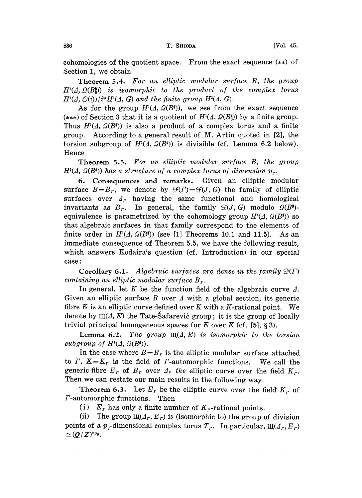cohomologies of the quotient space. From the exact sequence (\*\*) of Section 1, we obtain

Theorem 5.4. For an elliptic modular surface B, the group  $H^{1}(\Lambda,\Omega(B_{0}^{\ast}))$  is isomorphic to the product of the complex torus  $H^{1}(A, \mathcal{O}(\mathfrak{f}))/i^{*}H^{1}(A, G)$  and the finite group  $H^{2}(A, G)$ .

As for the group  $H^1(\Lambda, \Omega(B^*))$ , we see from the exact sequence (\*\*\*) of Section 3 that it is a quotient of  $H<sup>1</sup>(\Lambda, \Omega(B_0^*))$  by a finite group. Thus  $H<sup>1</sup>(\Lambda, \Omega(B^*))$  is also a product of a complex torus and a finite group. According to a general result of M. Artin quoted in [2], the torsion subgroup of  $H^1(\Lambda, \Omega(B^*))$  is divisible (cf. Lemma 6.2 below). Hence

Theorem 5.5. For an elliptic modular surface B, the group  $H<sup>1</sup>(\Lambda, \Omega(B^*))$  has a structure of a complex torus of dimension  $p_q$ .

6. Consequences and remarks. Given an elliptic modular surface  $B=B_r$ , we denote by  $\mathcal{F}(I)=\mathcal{F}(J, G)$  the family of elliptic surfaces over  $A_r$  having the same functional and homological invariants as  $B_r$ . In general, the family  $\mathcal{F}(J, G)$  modulo  $\mathcal{Q}(B^*)$ equivalence is parametrized by the cohomology group  $H<sup>1</sup>(A, \Omega(B^*))$  so that algebraic surfaces in that family correspond to the elements of finite order in  $H^{1}(A, \Omega(B^{*}))$  (see [1] Theorems 10.1 and 11.5). As an immediate consequence of Theorem 5.5, we have the following result, which answers Kodaira's question (cf. Introduction) in our special case

Corollary 6.1. Algebraic surfaces are dense in the family  $\mathcal{F}(\Gamma)$ containing an elliptic modular surface  $B_r$ .

In general, let K be the function field of the algebraic curve  $\Delta$ . Given an elliptic surface B over  $\Delta$  with a global section, its generic fibre  $E$  is an elliptic curve defined over  $K$  with a K-rational point. We denote by  $III(\Lambda, E)$  the Tate-Safarevic group; it is the group of locally trivial principal homogeneous spaces for  $E$  over  $K$  (cf. [5], § 3).

Lemma 6.2. The group  $\mathfrak{U}(\Lambda, E)$  is isomorphic to the torsion subgroup of  $H^1(\Lambda, \Omega(B^*))$ .

In the case where  $B=B_r$  is the elliptic modular surface attached to  $\Gamma$ ,  $K=K_r$  is the field of  $\Gamma$ -automorphic functions. We call the generic fibre  $E_r$  of  $B_r$  over  $A_r$  the elliptic curve over the field  $K_r$ . Then we can restate our main results in the following way.

**Theorem 6.3.** Let  $E_r$  be the elliptic curve over the field  $K_r$  of F-automorphic functions. Then

(i)  $E_r$  has only a finite number of  $K_r$ -rational points.

(ii) The group  $\mathfrak{u}(\Lambda_r, E_r)$  is (isomorphic to) the group of division points of a  $p_q$ -dimensional complex torus  $T_r$ . In particular,  $\mathfrak{U}(A_r, E_r)$  $\approx (Q/Z)^{2p_g}.$